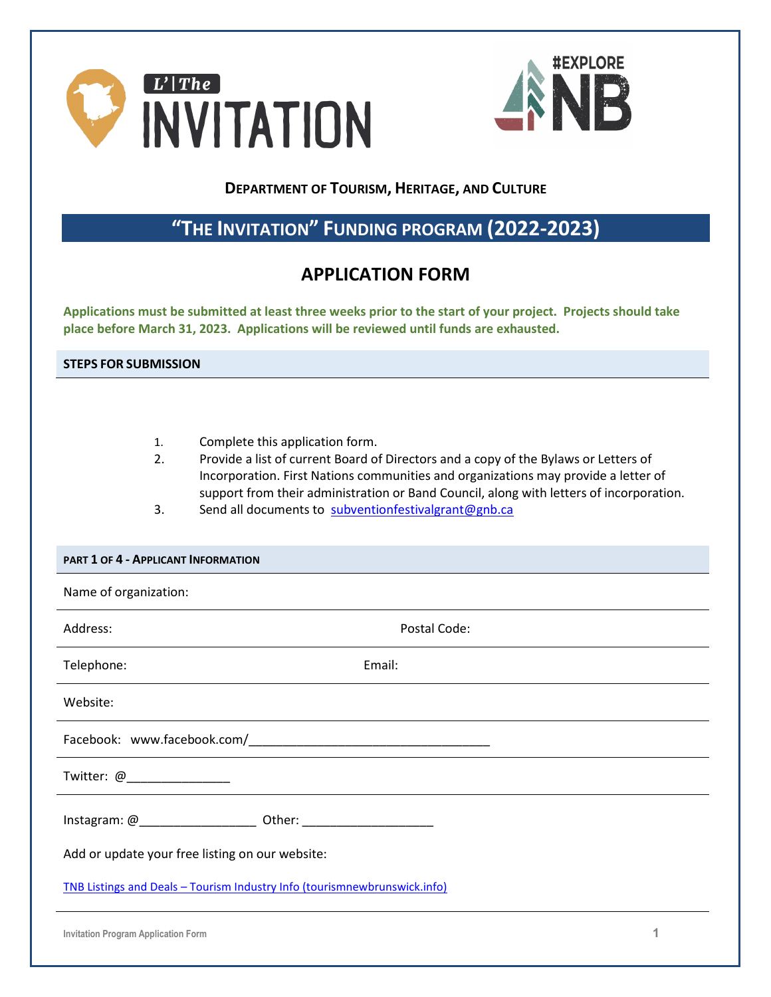



### **DEPARTMENT OF TOURISM, HERITAGE, AND CULTURE**

# **"THE INVITATION" FUNDING PROGRAM (2022-2023)**

## **APPLICATION FORM**

**Applications must be submitted at least three weeks prior to the start of your project. Projects should take place before March 31, 2023. Applications will be reviewed until funds are exhausted.**

**STEPS FOR SUBMISSION**

- 1. Complete this application form.
- 2. Provide a list of current Board of Directors and a copy of the Bylaws or Letters of Incorporation. First Nations communities and organizations may provide a letter of support from their administration or Band Council, along with letters of incorporation.
- 3. Send all documents to [subventionfestivalgrant@gnb.ca](mailto:subventionfestivalgrant@gnb.ca)

#### **PART 1 OF 4 - APPLICANT INFORMATION**

| Name of organization:                                                     |              |  |  |  |  |
|---------------------------------------------------------------------------|--------------|--|--|--|--|
| Address:                                                                  | Postal Code: |  |  |  |  |
| Telephone:                                                                | Email:       |  |  |  |  |
| Website:                                                                  |              |  |  |  |  |
|                                                                           |              |  |  |  |  |
| Twitter: @_______________                                                 |              |  |  |  |  |
|                                                                           |              |  |  |  |  |
| Add or update your free listing on our website:                           |              |  |  |  |  |
| TNB Listings and Deals - Tourism Industry Info (tourismnewbrunswick.info) |              |  |  |  |  |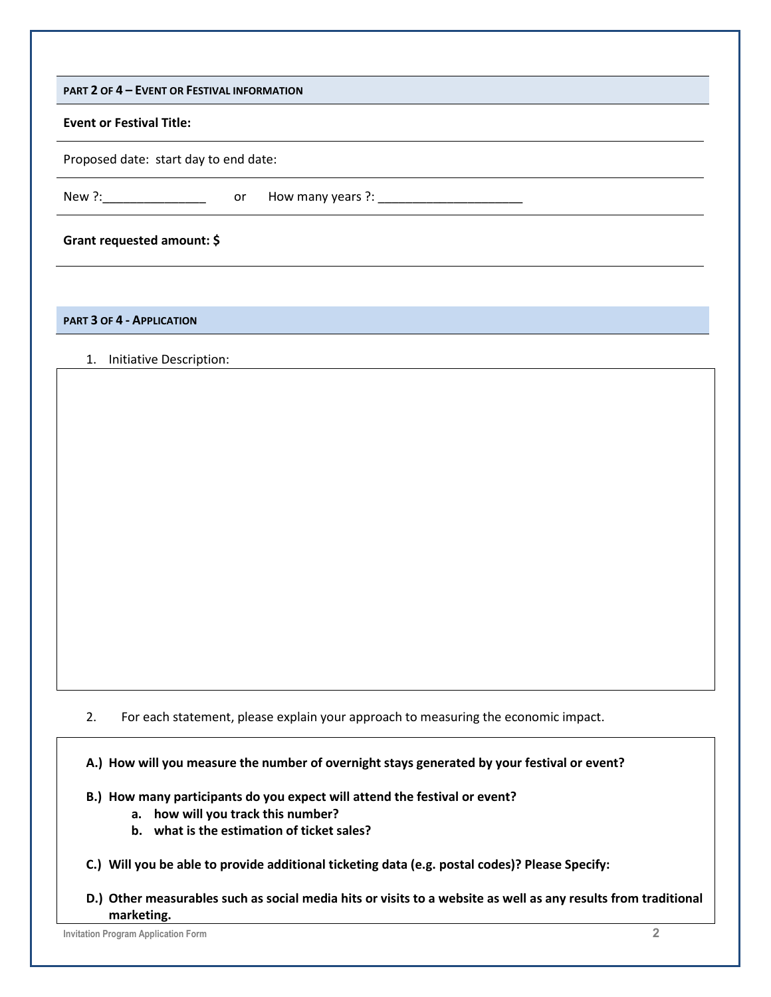| <b>PART 2 OF 4 - EVENT OR FESTIVAL INFORMATION</b> |
|----------------------------------------------------|
|----------------------------------------------------|

#### **Event or Festival Title:**

Proposed date: start day to end date:

New ?:\_\_\_\_\_\_\_\_\_\_\_\_\_\_\_\_\_\_\_\_\_\_\_\_\_\_ or How many years ?: \_\_\_\_\_\_\_\_\_\_\_\_\_\_\_\_\_\_\_\_\_\_\_\_\_\_

#### **Grant requested amount: \$**

**PART 3 OF 4 - APPLICATION**

#### 1. Initiative Description:

2. For each statement, please explain your approach to measuring the economic impact.

**A.) How will you measure the number of overnight stays generated by your festival or event?** 

- **B.) How many participants do you expect will attend the festival or event?** 
	- **a. how will you track this number?**
	- **b. what is the estimation of ticket sales?**
- **C.) Will you be able to provide additional ticketing data (e.g. postal codes)? Please Specify:**
- **D.) Other measurables such as social media hits or visits to a website as well as any results from traditional marketing.**

**Invitation Program Application Form 2**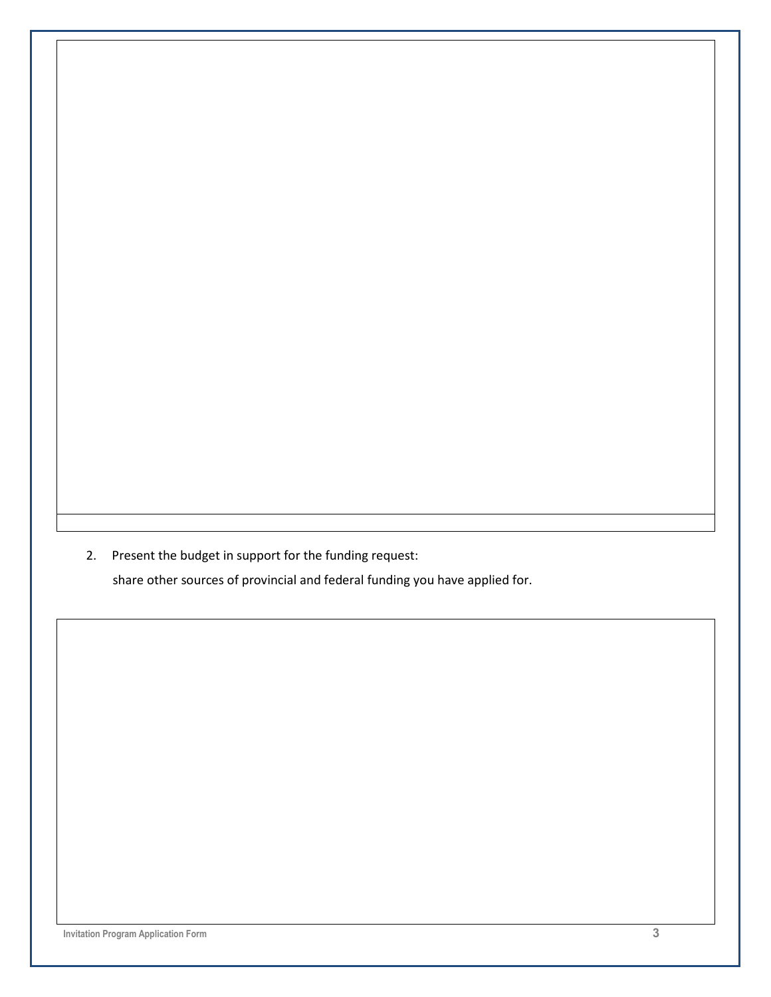2. Present the budget in support for the funding request:

share other sources of provincial and federal funding you have applied for.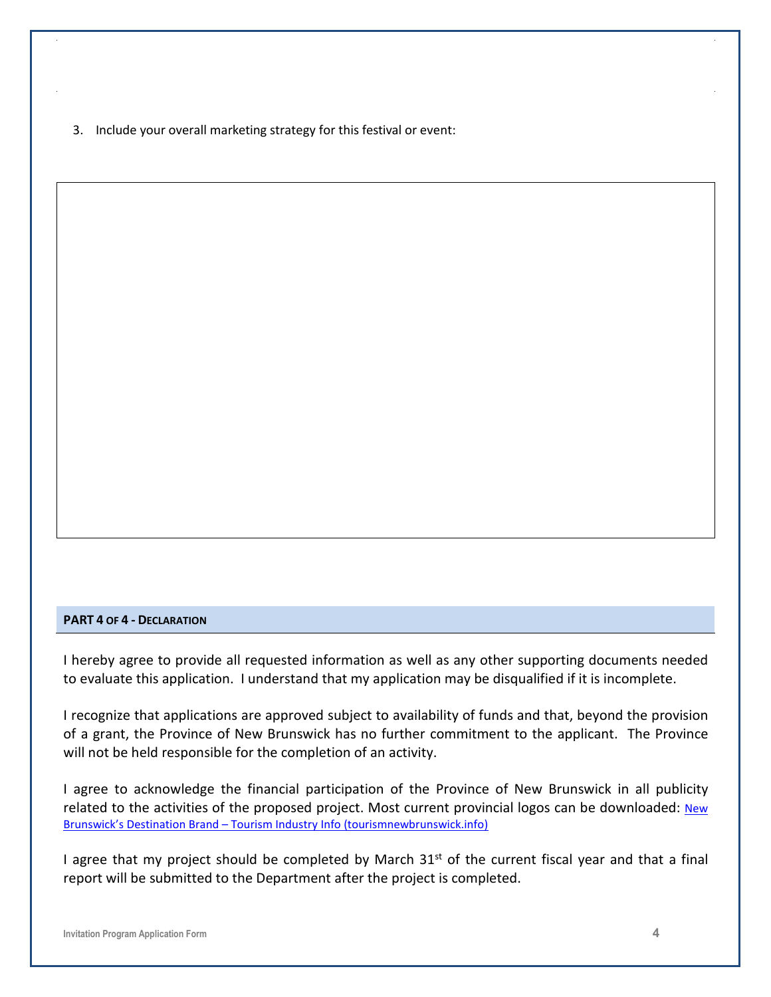3. Include your overall marketing strategy for this festival or event:

#### **PART 4 OF 4 - DECLARATION**

I hereby agree to provide all requested information as well as any other supporting documents needed to evaluate this application. I understand that my application may be disqualified if it is incomplete.

I recognize that applications are approved subject to availability of funds and that, beyond the provision of a grant, the Province of New Brunswick has no further commitment to the applicant. The Province will not be held responsible for the completion of an activity.

I agree to acknowledge the financial participation of the Province of New Brunswick in all publicity related to the activities of the proposed project. Most current provincial logos can be downloaded: New [Brunswick's Destination Brand – Tourism Industry Info \(tourismnewbrunswick.info\)](https://tourismnewbrunswick.info/brand/)

I agree that my project should be completed by March  $31<sup>st</sup>$  of the current fiscal year and that a final report will be submitted to the Department after the project is completed.